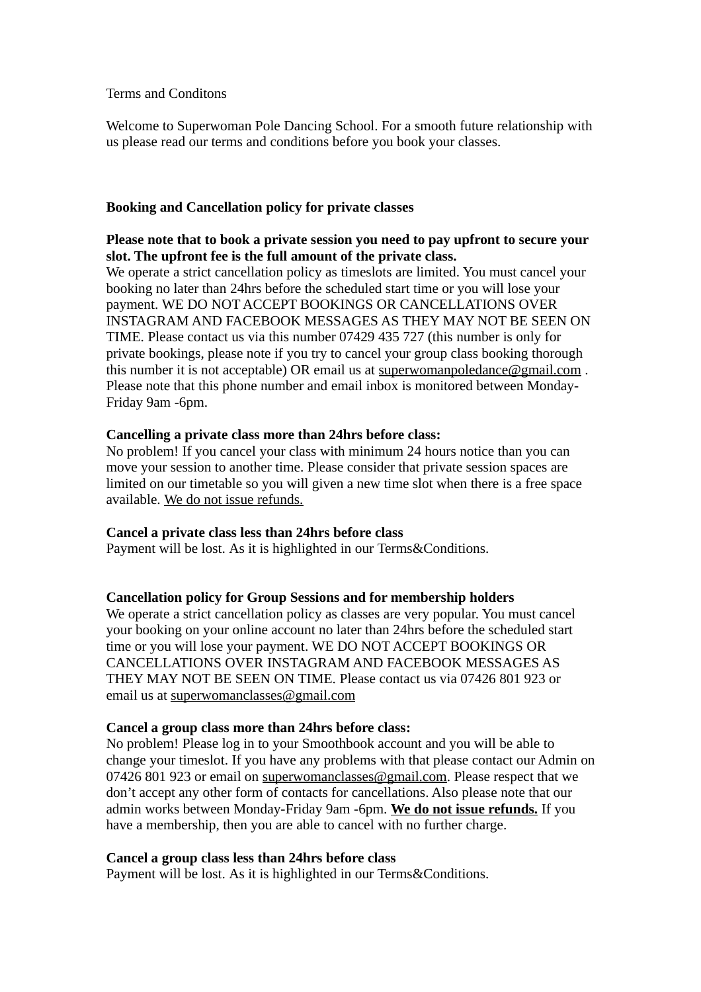Terms and Conditons

Welcome to Superwoman Pole Dancing School. For a smooth future relationship with us please read our terms and conditions before you book your classes.

## **Booking and Cancellation policy for private classes**

## **Please note that to book a private session you need to pay upfront to secure your slot. The upfront fee is the full amount of the private class.**

We operate a strict cancellation policy as timeslots are limited. You must cancel your booking no later than 24hrs before the scheduled start time or you will lose your payment. WE DO NOT ACCEPT BOOKINGS OR CANCELLATIONS OVER INSTAGRAM AND FACEBOOK MESSAGES AS THEY MAY NOT BE SEEN ON TIME. Please contact us via this number 07429 435 727 (this number is only for private bookings, please note if you try to cancel your group class booking thorough this number it is not acceptable) OR email us at [superwomanpoledance@gmail.com](mailto:superwomanpoledance@gmail.com) . Please note that this phone number and email inbox is monitored between Monday-Friday 9am -6pm.

## **Cancelling a private class more than 24hrs before class:**

No problem! If you cancel your class with minimum 24 hours notice than you can move your session to another time. Please consider that private session spaces are limited on our timetable so you will given a new time slot when there is a free space available. We do not issue refunds.

# **Cancel a private class less than 24hrs before class**

Payment will be lost. As it is highlighted in our Terms&Conditions.

#### **Cancellation policy for Group Sessions and for membership holders**

We operate a strict cancellation policy as classes are very popular. You must cancel your booking on your online account no later than 24hrs before the scheduled start time or you will lose your payment. WE DO NOT ACCEPT BOOKINGS OR CANCELLATIONS OVER INSTAGRAM AND FACEBOOK MESSAGES AS THEY MAY NOT BE SEEN ON TIME. Please contact us via 07426 801 923 or email us at [superwomanclasses@gmail.com](mailto:superwomanclasses@gmail.com)

# **Cancel a group class more than 24hrs before class:**

No problem! Please log in to your Smoothbook account and you will be able to change your timeslot. If you have any problems with that please contact our Admin on 07426 801 923 or email on [superwomanclasses@gmail.com.](mailto:superwomanclasses@gmail.com) Please respect that we don't accept any other form of contacts for cancellations. Also please note that our admin works between Monday-Friday 9am -6pm. **We do not issue refunds.** If you have a membership, then you are able to cancel with no further charge.

#### **Cancel a group class less than 24hrs before class**

Payment will be lost. As it is highlighted in our Terms&Conditions.